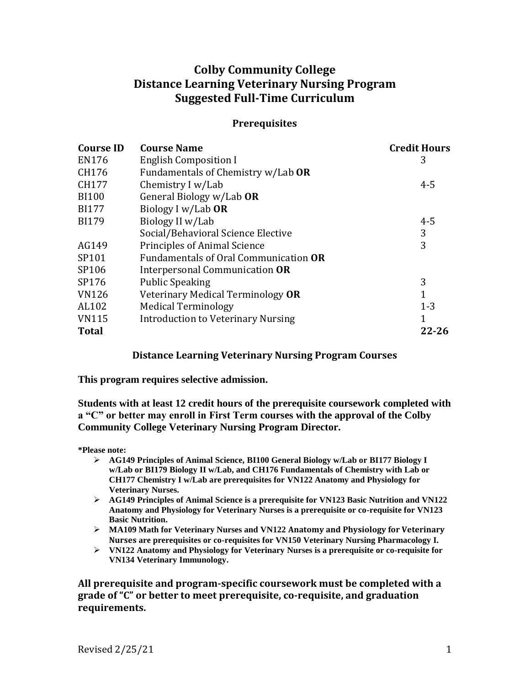# **Colby Community College Distance Learning Veterinary Nursing Program Suggested Full-Time Curriculum**

## **Prerequisites**

| <b>Course ID</b> | <b>Course Name</b>                        | <b>Credit Hours</b> |
|------------------|-------------------------------------------|---------------------|
| EN176            | <b>English Composition I</b>              | 3                   |
| CH176            | Fundamentals of Chemistry w/Lab OR        |                     |
| CH177            | Chemistry I w/Lab                         | $4 - 5$             |
| <b>BI100</b>     | General Biology w/Lab OR                  |                     |
| <b>BI177</b>     | Biology I w/Lab OR                        |                     |
| <b>BI179</b>     | Biology II w/Lab                          | $4 - 5$             |
|                  | Social/Behavioral Science Elective        | 3                   |
| AG149            | Principles of Animal Science              | 3                   |
| SP101            | Fundamentals of Oral Communication OR     |                     |
| SP106            | Interpersonal Communication OR            |                     |
| SP176            | <b>Public Speaking</b>                    | 3                   |
| <b>VN126</b>     | Veterinary Medical Terminology OR         | 1                   |
| AL102            | <b>Medical Terminology</b>                | $1 - 3$             |
| <b>VN115</b>     | <b>Introduction to Veterinary Nursing</b> | $\mathbf{1}$        |
| <b>Total</b>     |                                           | $22 - 26$           |

## **Distance Learning Veterinary Nursing Program Courses**

**This program requires selective admission.**

**Students with at least 12 credit hours of the prerequisite coursework completed with a "C" or better may enroll in First Term courses with the approval of the Colby Community College Veterinary Nursing Program Director.** 

**\*Please note:**

- ➢ **AG149 Principles of Animal Science, BI100 General Biology w/Lab or BI177 Biology I w/Lab or BI179 Biology II w/Lab, and CH176 Fundamentals of Chemistry with Lab or CH177 Chemistry I w/Lab are prerequisites for VN122 Anatomy and Physiology for Veterinary Nurses.**
- ➢ **AG149 Principles of Animal Science is a prerequisite for VN123 Basic Nutrition and VN122 Anatomy and Physiology for Veterinary Nurses is a prerequisite or co-requisite for VN123 Basic Nutrition.**
- ➢ **MA109 Math for Veterinary Nurses and VN122 Anatomy and Physiology for Veterinary Nurses are prerequisites or co-requisites for VN150 Veterinary Nursing Pharmacology I.**
- ➢ **VN122 Anatomy and Physiology for Veterinary Nurses is a prerequisite or co-requisite for VN134 Veterinary Immunology.**

**All prerequisite and program-specific coursework must be completed with a grade of "C" or better to meet prerequisite, co-requisite, and graduation requirements.**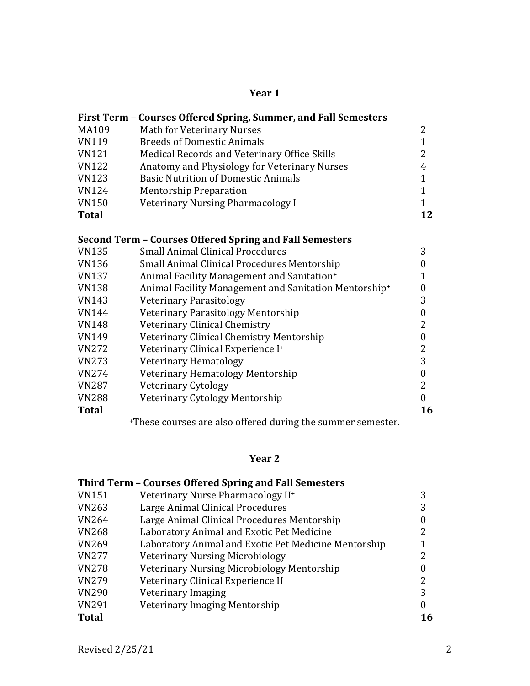## **Year 1**

|              | First Term - Courses Offered Spring, Summer, and Fall Semesters   |                  |
|--------------|-------------------------------------------------------------------|------------------|
| MA109        | <b>Math for Veterinary Nurses</b>                                 | 2                |
| <b>VN119</b> | <b>Breeds of Domestic Animals</b>                                 | $\mathbf{1}$     |
| <b>VN121</b> | Medical Records and Veterinary Office Skills                      | 2                |
| <b>VN122</b> | Anatomy and Physiology for Veterinary Nurses                      | 4                |
| <b>VN123</b> | <b>Basic Nutrition of Domestic Animals</b>                        | $\mathbf{1}$     |
| <b>VN124</b> | <b>Mentorship Preparation</b>                                     | $\mathbf{1}$     |
| <b>VN150</b> | Veterinary Nursing Pharmacology I                                 | $\mathbf{1}$     |
| <b>Total</b> |                                                                   | 12               |
|              | Second Term - Courses Offered Spring and Fall Semesters           |                  |
| <b>VN135</b> | <b>Small Animal Clinical Procedures</b>                           | 3                |
| <b>VN136</b> | <b>Small Animal Clinical Procedures Mentorship</b>                | $\boldsymbol{0}$ |
| <b>VN137</b> | Animal Facility Management and Sanitation+                        | 1                |
| <b>VN138</b> | Animal Facility Management and Sanitation Mentorship <sup>+</sup> | 0                |
| <b>VN143</b> | <b>Veterinary Parasitology</b>                                    | 3                |
| <b>VN144</b> | Veterinary Parasitology Mentorship                                | $\boldsymbol{0}$ |
| <b>VN148</b> | Veterinary Clinical Chemistry                                     | 2                |
| <b>VN149</b> | Veterinary Clinical Chemistry Mentorship                          | $\boldsymbol{0}$ |
| <b>VN272</b> | Veterinary Clinical Experience I+                                 | 2                |
| <b>VN273</b> | Veterinary Hematology                                             | 3                |
| <b>VN274</b> | Veterinary Hematology Mentorship                                  | $\mathbf{0}$     |
| <b>VN287</b> | Veterinary Cytology                                               | $\overline{2}$   |
| <b>VN288</b> | Veterinary Cytology Mentorship                                    | $\boldsymbol{0}$ |
| <b>Total</b> |                                                                   | 16               |
|              | *These courses are also offered during the summer semester.       |                  |

## **Year 2**

|              | Third Term - Courses Offered Spring and Fall Semesters |    |
|--------------|--------------------------------------------------------|----|
| <b>VN151</b> | Veterinary Nurse Pharmacology II <sup>+</sup>          | 3  |
| <b>VN263</b> | Large Animal Clinical Procedures                       | 3  |
| <b>VN264</b> | Large Animal Clinical Procedures Mentorship            |    |
| <b>VN268</b> | Laboratory Animal and Exotic Pet Medicine              |    |
| <b>VN269</b> | Laboratory Animal and Exotic Pet Medicine Mentorship   |    |
| <b>VN277</b> | <b>Veterinary Nursing Microbiology</b>                 |    |
| <b>VN278</b> | Veterinary Nursing Microbiology Mentorship             |    |
| <b>VN279</b> | Veterinary Clinical Experience II                      |    |
| <b>VN290</b> | Veterinary Imaging                                     | 3  |
| <b>VN291</b> | Veterinary Imaging Mentorship                          |    |
| <b>Total</b> |                                                        | 16 |